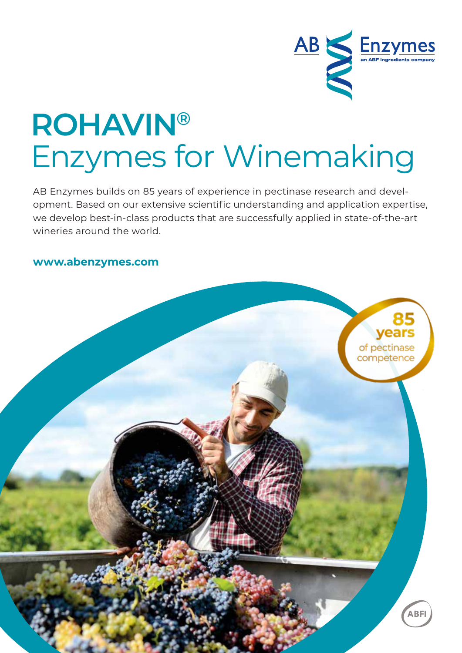

# **ROHAVIN®** Enzymes for Winemaking

AB Enzymes builds on 85 years of experience in pectinase research and development. Based on our extensive scientific understanding and application expertise, we develop best-in-class products that are successfully applied in state-of-the-art wineries around the world.

#### **www.abenzymes.com**

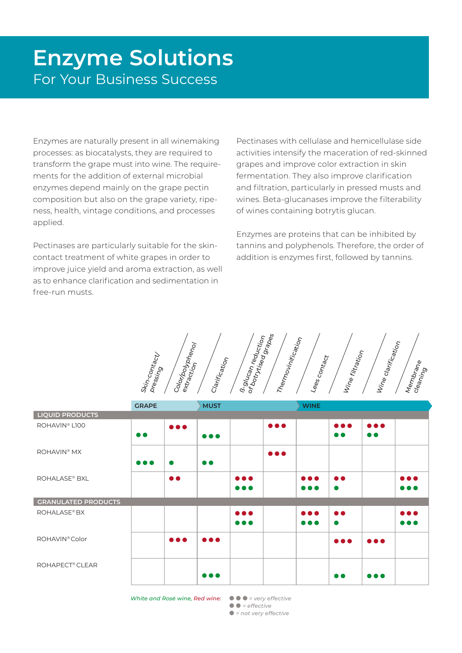### **Enzyme Solutions**  For Your Business Success

Enzymes are naturally present in all winemaking processes: as biocatalysts, they are required to transform the grape must into wine. The requirements for the addition of external microbial enzymes depend mainly on the grape pectin composition but also on the grape variety, ripeness, health, vintage conditions, and processes applied.

Pectinases are particularly suitable for the skincontact treatment of white grapes in order to improve juice yield and aroma extraction, as well as to enhance clarification and sedimentation in free-run musts.

Pectinases with cellulase and hemicellulase side activities intensify the maceration of red-skinned grapes and improve color extraction in skin fermentation. They also improve clarification and filtration, particularly in pressed musts and wines. Beta-glucanases improve the filterability of wines containing botrytis glucan.

Enzymes are proteins that can be inhibited by tannins and polyphenols. Therefore, the order of addition is enzymes first, followed by tannins.

| Skin-contacty        | Color/polyphenol |               | or botrytised grapes<br><b>B.glucan reduction</b> | Thermovinification | Lees contact | Wine filtration | Wine clarification |                      |
|----------------------|------------------|---------------|---------------------------------------------------|--------------------|--------------|-----------------|--------------------|----------------------|
| pr <sub>essing</sub> |                  | Clarification |                                                   |                    |              |                 |                    | Membrane<br>cleaning |

|                             | <b>GRAPE</b>            |                         | <b>MUST</b>             |                                                    |                         | <b>WINE</b>                      |                                      |                                      |                                                    |
|-----------------------------|-------------------------|-------------------------|-------------------------|----------------------------------------------------|-------------------------|----------------------------------|--------------------------------------|--------------------------------------|----------------------------------------------------|
| <b>LIQUID PRODUCTS</b>      |                         |                         |                         |                                                    |                         |                                  |                                      |                                      |                                                    |
| ROHAVIN <sup>®</sup> L100   | $\bullet$               | $\bullet\bullet\bullet$ | $\bullet\bullet\bullet$ |                                                    | $\bullet\bullet\bullet$ |                                  | $\bullet\bullet\bullet$<br>$\bullet$ | $\bullet\bullet\bullet$<br>$\bullet$ |                                                    |
| ROHAVIN <sup>®</sup> MX     | $\bullet\bullet\bullet$ | $\bullet$               | $\bullet$               |                                                    | $\bullet\bullet\bullet$ |                                  |                                      |                                      |                                                    |
| <b>ROHALASE® BXL</b>        |                         | $\bullet$               |                         | $\bullet\bullet\bullet$<br>$\bullet\bullet\bullet$ |                         | 8 A A<br>$\bullet\bullet\bullet$ | $\bullet$<br>$\bullet$               |                                      | $\bullet\bullet\bullet$<br>$\bullet\bullet\bullet$ |
| <b>GRANULATED PRODUCTS</b>  |                         |                         |                         |                                                    |                         |                                  |                                      |                                      |                                                    |
| ROHALASE <sup>®</sup> BX    |                         |                         |                         | $\bullet\bullet\bullet$<br>$\bullet\bullet\bullet$ |                         | <br>$\bullet\bullet\bullet$      | $\bullet$                            |                                      | $\bullet\bullet\bullet$<br>$\bullet\bullet\bullet$ |
| ROHAVIN <sup>®</sup> Color  |                         | $\bullet\bullet\bullet$ | $\bullet\bullet\bullet$ |                                                    |                         |                                  | $\bullet\bullet\bullet$              | $\bullet\bullet\bullet$              |                                                    |
| ROHAPECT <sup>®</sup> CLEAR |                         |                         | $\bullet\bullet\bullet$ |                                                    |                         |                                  | D O                                  | .                                    |                                                    |

*White and Rosé wine, Red wine:* ● ● ● *= very effective* 

● ● *= effective* ● *= not very effective*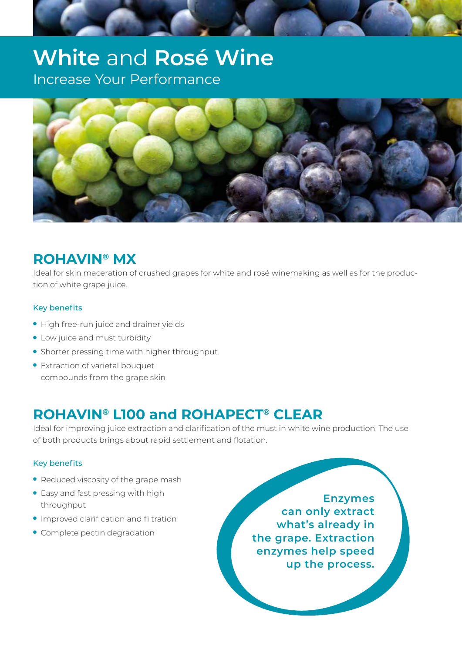### **White** and **Rosé Wine**  Increase Your Performance



### **ROHAVIN® MX**

Ideal for skin maceration of crushed grapes for white and rosé winemaking as well as for the production of white grape juice.

#### Key benefits

- High free-run juice and drainer yields
- Low juice and must turbidity
- Shorter pressing time with higher throughput
- Extraction of varietal bouquet compounds from the grape skin

### **ROHAVIN® L100 and ROHAPECT® CLEAR**

Ideal for improving juice extraction and clarification of the must in white wine production. The use of both products brings about rapid settlement and flotation.

#### Key benefits

- Reduced viscosity of the grape mash
- Easy and fast pressing with high throughput
- Improved clarification and filtration
- Complete pectin degradation

**Enzymes can only extract what's already in the grape. Extraction enzymes help speed up the process.**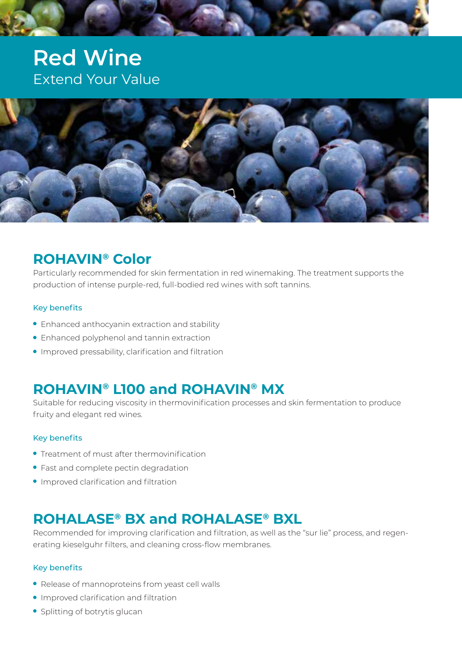### **Red Wine**  Extend Your Value



#### **ROHAVIN® Color**

Particularly recommended for skin fermentation in red winemaking. The treatment supports the production of intense purple-red, full-bodied red wines with soft tannins.

#### Key benefits

- Enhanced anthocyanin extraction and stability
- Enhanced polyphenol and tannin extraction
- Improved pressability, clarification and filtration

#### **ROHAVIN® L100 and ROHAVIN® MX**

Suitable for reducing viscosity in thermovinification processes and skin fermentation to produce fruity and elegant red wines.

#### Key benefits

- Treatment of must after thermovinification
- Fast and complete pectin degradation
- Improved clarification and filtration

#### **ROHALASE® BX and ROHALASE® BXL**

Recommended for improving clarification and filtration, as well as the "sur lie" process, and regenerating kieselguhr filters, and cleaning cross-flow membranes.

#### Key benefits

- Release of mannoproteins from yeast cell walls
- Improved clarification and filtration
- Splitting of botrytis glucan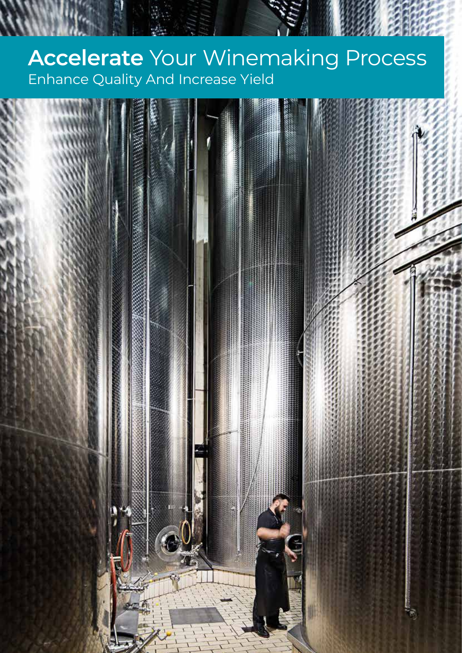## **Accelerate** Your Winemaking Process Enhance Quality And Increase Yield